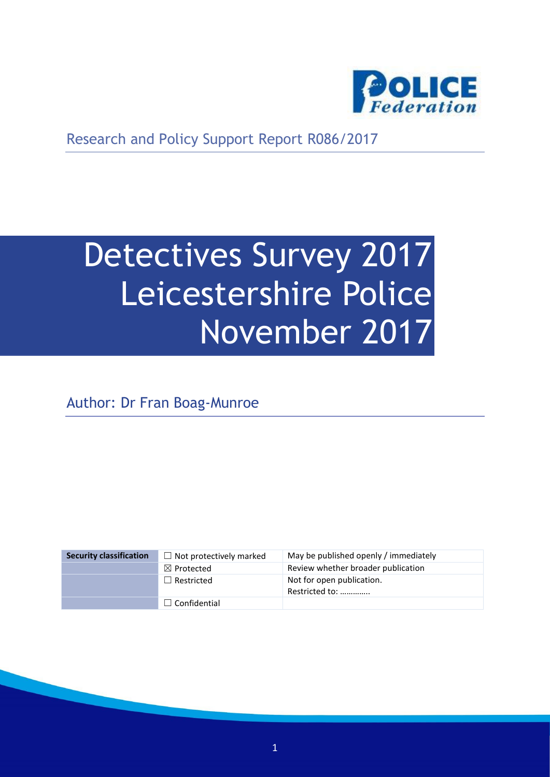

Research and Policy Support Report R086/2017

# Detectives Survey 2017 Leicestershire Police November 2017

Author: Dr Fran Boag-Munroe

| <b>Security classification</b> | $\Box$ Not protectively marked | May be published openly / immediately       |
|--------------------------------|--------------------------------|---------------------------------------------|
|                                | $\boxtimes$ Protected          | Review whether broader publication          |
|                                | $\Box$ Restricted              | Not for open publication.<br>Restricted to: |
|                                | $\Box$ Confidential            |                                             |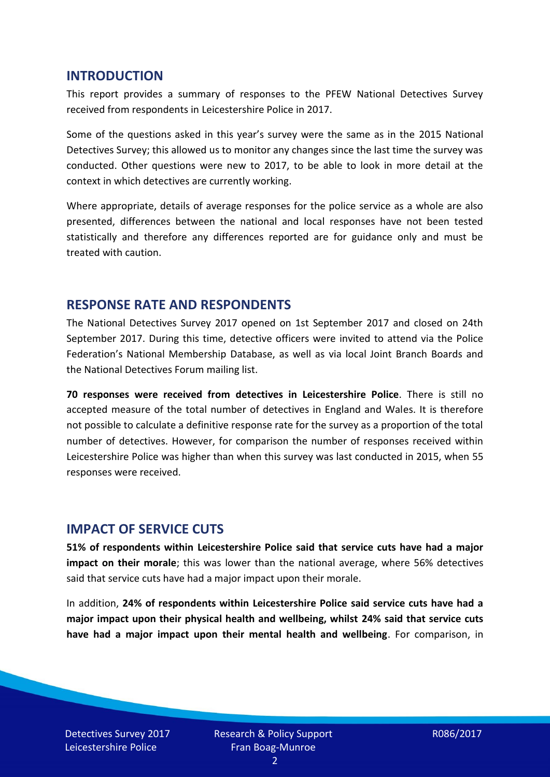#### **INTRODUCTION**

This report provides a summary of responses to the PFEW National Detectives Survey received from respondents in Leicestershire Police in 2017.

Some of the questions asked in this year's survey were the same as in the 2015 National Detectives Survey; this allowed us to monitor any changes since the last time the survey was conducted. Other questions were new to 2017, to be able to look in more detail at the context in which detectives are currently working.

Where appropriate, details of average responses for the police service as a whole are also presented, differences between the national and local responses have not been tested statistically and therefore any differences reported are for guidance only and must be treated with caution.

#### **RESPONSE RATE AND RESPONDENTS**

The National Detectives Survey 2017 opened on 1st September 2017 and closed on 24th September 2017. During this time, detective officers were invited to attend via the Police Federation's National Membership Database, as well as via local Joint Branch Boards and the National Detectives Forum mailing list.

**70 responses were received from detectives in Leicestershire Police**. There is still no accepted measure of the total number of detectives in England and Wales. It is therefore not possible to calculate a definitive response rate for the survey as a proportion of the total number of detectives. However, for comparison the number of responses received within Leicestershire Police was higher than when this survey was last conducted in 2015, when 55 responses were received.

#### **IMPACT OF SERVICE CUTS**

**51% of respondents within Leicestershire Police said that service cuts have had a major impact on their morale**; this was lower than the national average, where 56% detectives said that service cuts have had a major impact upon their morale.

In addition, **24% of respondents within Leicestershire Police said service cuts have had a major impact upon their physical health and wellbeing, whilst 24% said that service cuts have had a major impact upon their mental health and wellbeing**. For comparison, in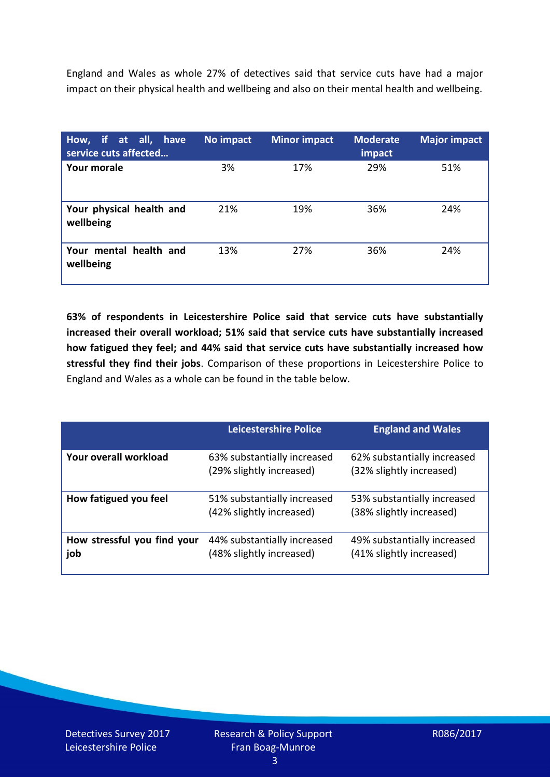England and Wales as whole 27% of detectives said that service cuts have had a major impact on their physical health and wellbeing and also on their mental health and wellbeing.

| How, if at all, have<br>service cuts affected | No impact | <b>Minor impact</b> | <b>Moderate</b><br>impact | <b>Major impact</b> |
|-----------------------------------------------|-----------|---------------------|---------------------------|---------------------|
| <b>Your morale</b>                            | 3%        | 17%                 | 29%                       | 51%                 |
| Your physical health and<br>wellbeing         | 21%       | 19%                 | 36%                       | 24%                 |
| Your mental health and<br>wellbeing           | 13%       | 27%                 | 36%                       | 24%                 |

**63% of respondents in Leicestershire Police said that service cuts have substantially increased their overall workload; 51% said that service cuts have substantially increased how fatigued they feel; and 44% said that service cuts have substantially increased how stressful they find their jobs**. Comparison of these proportions in Leicestershire Police to England and Wales as a whole can be found in the table below.

|                                    | Leicestershire Police                                   | <b>England and Wales</b>                                |
|------------------------------------|---------------------------------------------------------|---------------------------------------------------------|
| Your overall workload              | 63% substantially increased<br>(29% slightly increased) | 62% substantially increased<br>(32% slightly increased) |
| How fatigued you feel              | 51% substantially increased<br>(42% slightly increased) | 53% substantially increased<br>(38% slightly increased) |
| How stressful you find your<br>job | 44% substantially increased<br>(48% slightly increased) | 49% substantially increased<br>(41% slightly increased) |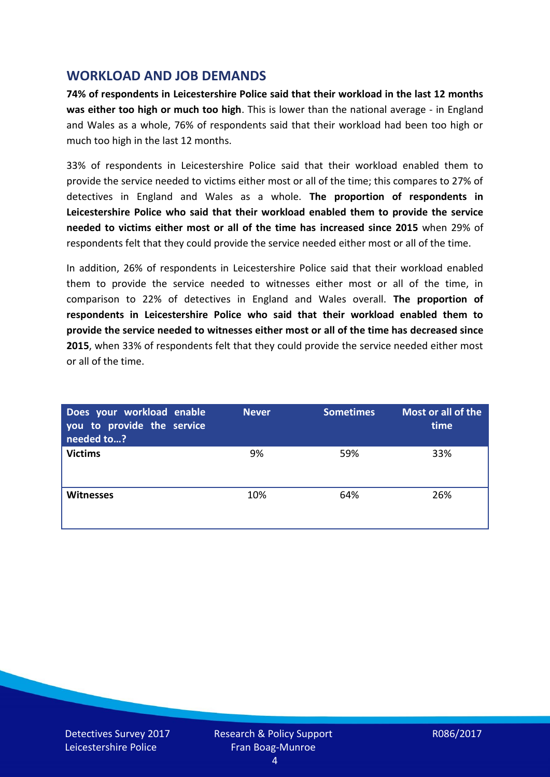## **WORKLOAD AND JOB DEMANDS**

**74% of respondents in Leicestershire Police said that their workload in the last 12 months was either too high or much too high**. This is lower than the national average - in England and Wales as a whole, 76% of respondents said that their workload had been too high or much too high in the last 12 months.

33% of respondents in Leicestershire Police said that their workload enabled them to provide the service needed to victims either most or all of the time; this compares to 27% of detectives in England and Wales as a whole. **The proportion of respondents in Leicestershire Police who said that their workload enabled them to provide the service needed to victims either most or all of the time has increased since 2015** when 29% of respondents felt that they could provide the service needed either most or all of the time.

In addition, 26% of respondents in Leicestershire Police said that their workload enabled them to provide the service needed to witnesses either most or all of the time, in comparison to 22% of detectives in England and Wales overall. **The proportion of respondents in Leicestershire Police who said that their workload enabled them to provide the service needed to witnesses either most or all of the time has decreased since 2015**, when 33% of respondents felt that they could provide the service needed either most or all of the time.

| Does your workload enable<br>you to provide the service<br>needed to? | <b>Never</b> | <b>Sometimes</b> | Most or all of the<br>time |
|-----------------------------------------------------------------------|--------------|------------------|----------------------------|
| <b>Victims</b>                                                        | 9%           | 59%              | 33%                        |
| <b>Witnesses</b>                                                      | 10%          | 64%              | 26%                        |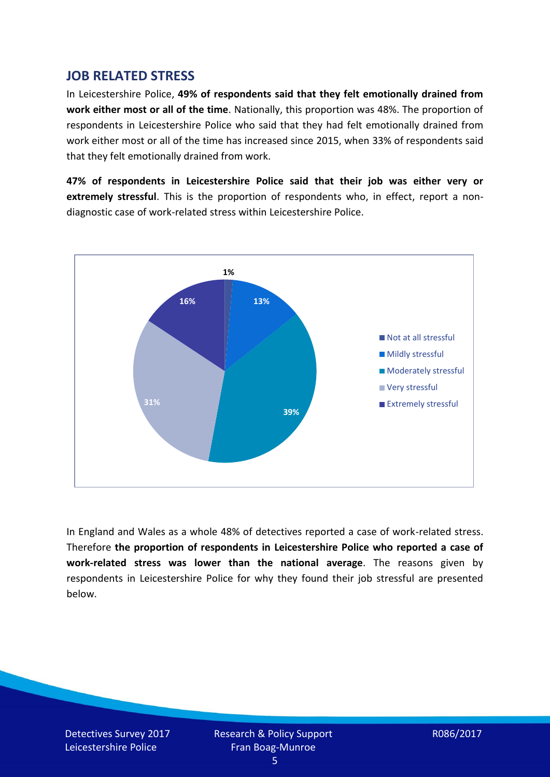## **JOB RELATED STRESS**

In Leicestershire Police, **49% of respondents said that they felt emotionally drained from work either most or all of the time**. Nationally, this proportion was 48%. The proportion of respondents in Leicestershire Police who said that they had felt emotionally drained from work either most or all of the time has increased since 2015, when 33% of respondents said that they felt emotionally drained from work.

**47% of respondents in Leicestershire Police said that their job was either very or extremely stressful**. This is the proportion of respondents who, in effect, report a nondiagnostic case of work-related stress within Leicestershire Police.



In England and Wales as a whole 48% of detectives reported a case of work-related stress. Therefore **the proportion of respondents in Leicestershire Police who reported a case of work-related stress was lower than the national average**. The reasons given by respondents in Leicestershire Police for why they found their job stressful are presented below.

Detectives Survey 2017 Leicestershire Police

Research & Policy Support Fran Boag-Munroe

R086/2017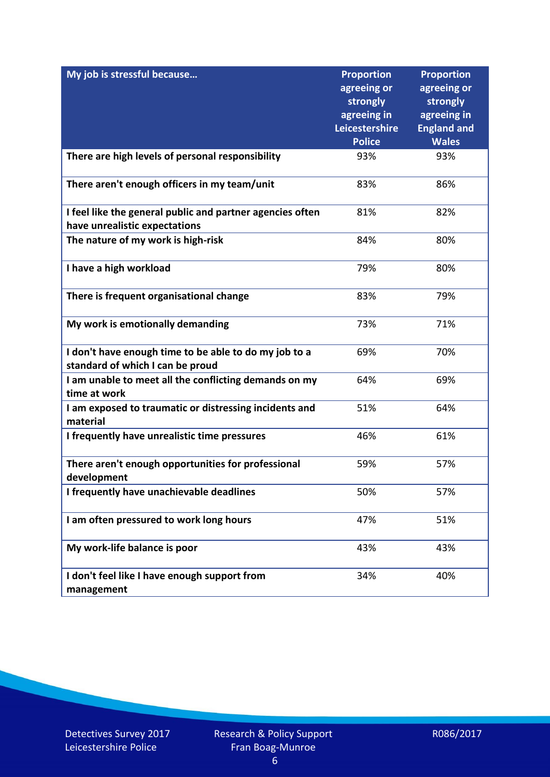| My job is stressful because                                                               | <b>Proportion</b><br>agreeing or<br>strongly<br>agreeing in<br>Leicestershire<br><b>Police</b> | <b>Proportion</b><br>agreeing or<br>strongly<br>agreeing in<br><b>England and</b><br><b>Wales</b> |
|-------------------------------------------------------------------------------------------|------------------------------------------------------------------------------------------------|---------------------------------------------------------------------------------------------------|
|                                                                                           | 93%                                                                                            | 93%                                                                                               |
| There are high levels of personal responsibility                                          |                                                                                                |                                                                                                   |
| There aren't enough officers in my team/unit                                              | 83%                                                                                            | 86%                                                                                               |
| I feel like the general public and partner agencies often                                 | 81%                                                                                            | 82%                                                                                               |
| have unrealistic expectations                                                             |                                                                                                |                                                                                                   |
| The nature of my work is high-risk                                                        | 84%                                                                                            | 80%                                                                                               |
| I have a high workload                                                                    | 79%                                                                                            | 80%                                                                                               |
| There is frequent organisational change                                                   | 83%                                                                                            | 79%                                                                                               |
| My work is emotionally demanding                                                          | 73%                                                                                            | 71%                                                                                               |
| I don't have enough time to be able to do my job to a<br>standard of which I can be proud | 69%                                                                                            | 70%                                                                                               |
| I am unable to meet all the conflicting demands on my<br>time at work                     | 64%                                                                                            | 69%                                                                                               |
| I am exposed to traumatic or distressing incidents and<br>material                        | 51%                                                                                            | 64%                                                                                               |
| I frequently have unrealistic time pressures                                              | 46%                                                                                            | 61%                                                                                               |
| There aren't enough opportunities for professional<br>development                         | 59%                                                                                            | 57%                                                                                               |
| I frequently have unachievable deadlines                                                  | 50%                                                                                            | 57%                                                                                               |
| I am often pressured to work long hours                                                   | 47%                                                                                            | 51%                                                                                               |
| My work-life balance is poor                                                              | 43%                                                                                            | 43%                                                                                               |
| I don't feel like I have enough support from<br>management                                | 34%                                                                                            | 40%                                                                                               |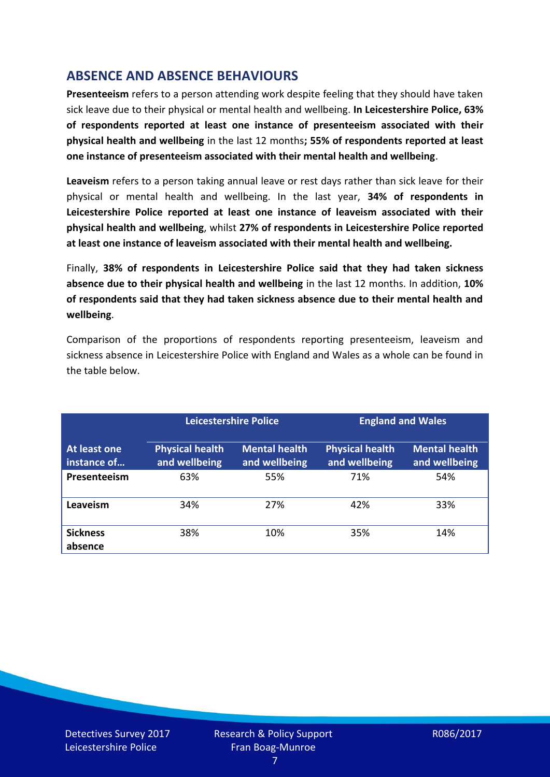# **ABSENCE AND ABSENCE BEHAVIOURS**

**Presenteeism** refers to a person attending work despite feeling that they should have taken sick leave due to their physical or mental health and wellbeing. **In Leicestershire Police, 63% of respondents reported at least one instance of presenteeism associated with their physical health and wellbeing** in the last 12 months**; 55% of respondents reported at least one instance of presenteeism associated with their mental health and wellbeing**.

**Leaveism** refers to a person taking annual leave or rest days rather than sick leave for their physical or mental health and wellbeing. In the last year, **34% of respondents in Leicestershire Police reported at least one instance of leaveism associated with their physical health and wellbeing**, whilst **27% of respondents in Leicestershire Police reported at least one instance of leaveism associated with their mental health and wellbeing.**

Finally, **38% of respondents in Leicestershire Police said that they had taken sickness absence due to their physical health and wellbeing** in the last 12 months. In addition, **10% of respondents said that they had taken sickness absence due to their mental health and wellbeing**.

Comparison of the proportions of respondents reporting presenteeism, leaveism and sickness absence in Leicestershire Police with England and Wales as a whole can be found in the table below.

|                             |                                         | <b>Leicestershire Police</b>          |                                         | <b>England and Wales</b>              |
|-----------------------------|-----------------------------------------|---------------------------------------|-----------------------------------------|---------------------------------------|
| At least one<br>instance of | <b>Physical health</b><br>and wellbeing | <b>Mental health</b><br>and wellbeing | <b>Physical health</b><br>and wellbeing | <b>Mental health</b><br>and wellbeing |
| Presenteeism                | 63%                                     | 55%                                   | 71%                                     | 54%                                   |
| Leaveism                    | 34%                                     | 27%                                   | 42%                                     | 33%                                   |
| <b>Sickness</b><br>absence  | 38%                                     | 10%                                   | 35%                                     | 14%                                   |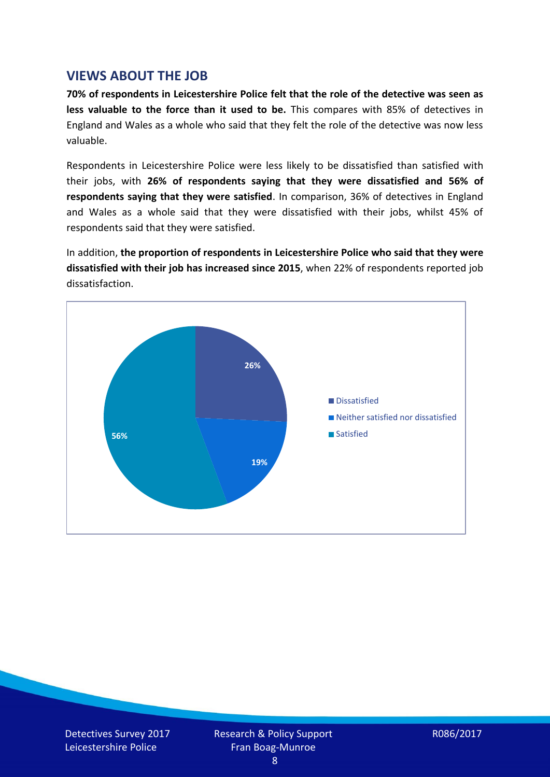## **VIEWS ABOUT THE JOB**

**70% of respondents in Leicestershire Police felt that the role of the detective was seen as less valuable to the force than it used to be.** This compares with 85% of detectives in England and Wales as a whole who said that they felt the role of the detective was now less valuable.

Respondents in Leicestershire Police were less likely to be dissatisfied than satisfied with their jobs, with **26% of respondents saying that they were dissatisfied and 56% of respondents saying that they were satisfied**. In comparison, 36% of detectives in England and Wales as a whole said that they were dissatisfied with their jobs, whilst 45% of respondents said that they were satisfied.

In addition, **the proportion of respondents in Leicestershire Police who said that they were dissatisfied with their job has increased since 2015**, when 22% of respondents reported job dissatisfaction.



Detectives Survey 2017 Leicestershire Police

Research & Policy Support Fran Boag-Munroe

R086/2017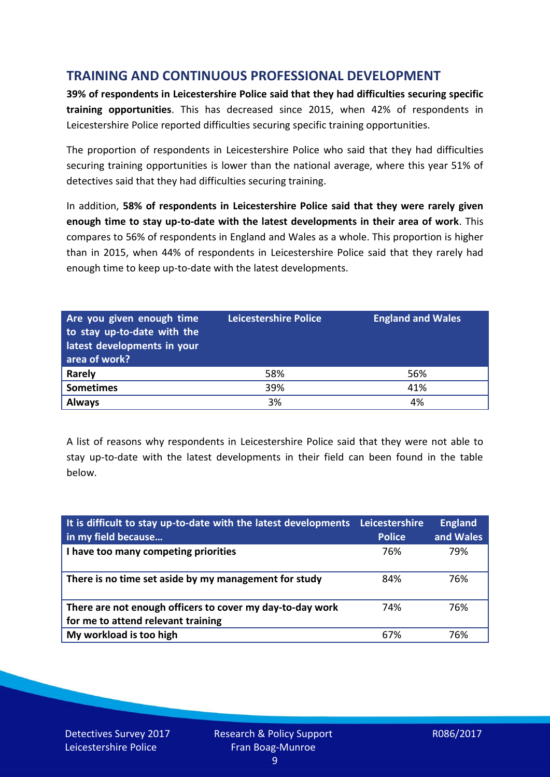# **TRAINING AND CONTINUOUS PROFESSIONAL DEVELOPMENT**

**39% of respondents in Leicestershire Police said that they had difficulties securing specific training opportunities**. This has decreased since 2015, when 42% of respondents in Leicestershire Police reported difficulties securing specific training opportunities.

The proportion of respondents in Leicestershire Police who said that they had difficulties securing training opportunities is lower than the national average, where this year 51% of detectives said that they had difficulties securing training.

In addition, **58% of respondents in Leicestershire Police said that they were rarely given enough time to stay up-to-date with the latest developments in their area of work**. This compares to 56% of respondents in England and Wales as a whole. This proportion is higher than in 2015, when 44% of respondents in Leicestershire Police said that they rarely had enough time to keep up-to-date with the latest developments.

| Are you given enough time<br>to stay up-to-date with the<br>latest developments in your<br>area of work? | <b>Leicestershire Police</b> | <b>England and Wales</b> |
|----------------------------------------------------------------------------------------------------------|------------------------------|--------------------------|
| <b>Rarely</b>                                                                                            | 58%                          | 56%                      |
| <b>Sometimes</b>                                                                                         | 39%                          | 41%                      |
| <b>Always</b>                                                                                            | 3%                           | 4%                       |

A list of reasons why respondents in Leicestershire Police said that they were not able to stay up-to-date with the latest developments in their field can been found in the table below.

| It is difficult to stay up-to-date with the latest developments<br>in my field because          | Leicestershire<br><b>Police</b> | <b>England</b><br>and Wales |
|-------------------------------------------------------------------------------------------------|---------------------------------|-----------------------------|
| I have too many competing priorities                                                            | 76%                             | 79%                         |
| There is no time set aside by my management for study                                           | 84%                             | 76%                         |
| There are not enough officers to cover my day-to-day work<br>for me to attend relevant training | 74%                             | 76%                         |
| My workload is too high                                                                         | 67%                             | 76%                         |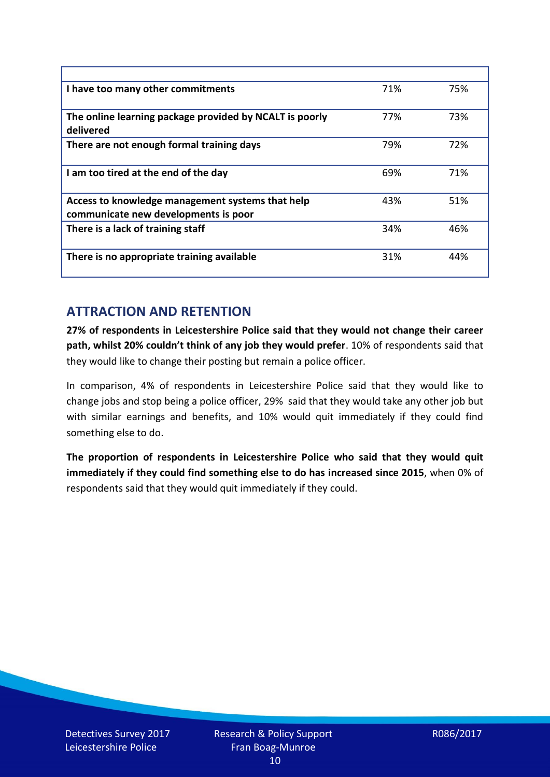| I have too many other commitments                                                        | 71% | 75% |
|------------------------------------------------------------------------------------------|-----|-----|
| The online learning package provided by NCALT is poorly<br>delivered                     | 77% | 73% |
| There are not enough formal training days                                                | 79% | 72% |
| I am too tired at the end of the day                                                     | 69% | 71% |
| Access to knowledge management systems that help<br>communicate new developments is poor | 43% | 51% |
| There is a lack of training staff                                                        | 34% | 46% |
| There is no appropriate training available                                               | 31% | 44% |

# **ATTRACTION AND RETENTION**

**27% of respondents in Leicestershire Police said that they would not change their career path, whilst 20% couldn't think of any job they would prefer**. 10% of respondents said that they would like to change their posting but remain a police officer.

In comparison, 4% of respondents in Leicestershire Police said that they would like to change jobs and stop being a police officer, 29% said that they would take any other job but with similar earnings and benefits, and 10% would quit immediately if they could find something else to do.

**The proportion of respondents in Leicestershire Police who said that they would quit immediately if they could find something else to do has increased since 2015**, when 0% of respondents said that they would quit immediately if they could.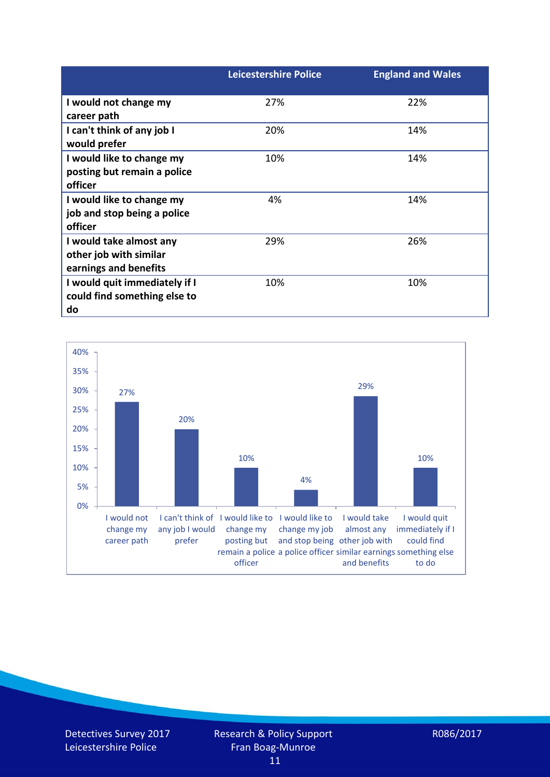|                               | <b>Leicestershire Police</b> | <b>England and Wales</b> |
|-------------------------------|------------------------------|--------------------------|
| I would not change my         | 27%                          | 22%                      |
| career path                   |                              |                          |
| I can't think of any job I    | 20%                          | 14%                      |
| would prefer                  |                              |                          |
| I would like to change my     | 10%                          | 14%                      |
| posting but remain a police   |                              |                          |
| officer                       |                              |                          |
| I would like to change my     | 4%                           | 14%                      |
| job and stop being a police   |                              |                          |
| officer                       |                              |                          |
| I would take almost any       | 29%                          | 26%                      |
| other job with similar        |                              |                          |
| earnings and benefits         |                              |                          |
| I would quit immediately if I | 10%                          | 10%                      |
| could find something else to  |                              |                          |
| do                            |                              |                          |